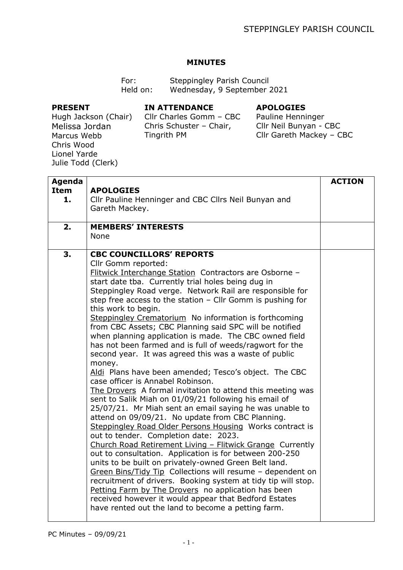## **MINUTES**

| For:     | Steppingley Parish Council  |
|----------|-----------------------------|
| Held on: | Wednesday, 9 September 2021 |

## **PRESENT**

**IN ATTENDANCE**

## **APOLOGIES**

Hugh Jackson (Chair) Melissa Jordan Marcus Webb Chris Wood Lionel Yarde Julie Todd (Clerk)

Cllr Charles Gomm – CBC Chris Schuster – Chair, Tingrith PM

Pauline Henninger Cllr Neil Bunyan - CBC Cllr Gareth Mackey – CBC

| <b>Agenda</b> |                                                                                                                  | <b>ACTION</b> |
|---------------|------------------------------------------------------------------------------------------------------------------|---------------|
| <b>Item</b>   | <b>APOLOGIES</b>                                                                                                 |               |
| 1.            | Cllr Pauline Henninger and CBC Cllrs Neil Bunyan and                                                             |               |
|               | Gareth Mackey.                                                                                                   |               |
|               |                                                                                                                  |               |
| 2.            | <b>MEMBERS' INTERESTS</b><br>None                                                                                |               |
|               |                                                                                                                  |               |
| 3.            | <b>CBC COUNCILLORS' REPORTS</b>                                                                                  |               |
|               | Cllr Gomm reported:                                                                                              |               |
|               | Flitwick Interchange Station Contractors are Osborne -                                                           |               |
|               | start date tba. Currently trial holes being dug in                                                               |               |
|               | Steppingley Road verge. Network Rail are responsible for                                                         |               |
|               | step free access to the station $-$ Cllr Gomm is pushing for                                                     |               |
|               | this work to begin.                                                                                              |               |
|               | Steppingley Crematorium No information is forthcoming<br>from CBC Assets; CBC Planning said SPC will be notified |               |
|               | when planning application is made. The CBC owned field                                                           |               |
|               | has not been farmed and is full of weeds/ragwort for the                                                         |               |
|               | second year. It was agreed this was a waste of public                                                            |               |
|               | money.                                                                                                           |               |
|               | Aldi Plans have been amended; Tesco's object. The CBC                                                            |               |
|               | case officer is Annabel Robinson.                                                                                |               |
|               | The Drovers A formal invitation to attend this meeting was                                                       |               |
|               | sent to Salik Miah on 01/09/21 following his email of                                                            |               |
|               | 25/07/21. Mr Miah sent an email saying he was unable to                                                          |               |
|               | attend on 09/09/21. No update from CBC Planning.<br>Steppingley Road Older Persons Housing Works contract is     |               |
|               | out to tender. Completion date: 2023.                                                                            |               |
|               | Church Road Retirement Living - Flitwick Grange Currently                                                        |               |
|               | out to consultation. Application is for between 200-250                                                          |               |
|               | units to be built on privately-owned Green Belt land.                                                            |               |
|               | Green Bins/Tidy Tip Collections will resume - dependent on                                                       |               |
|               | recruitment of drivers. Booking system at tidy tip will stop.                                                    |               |
|               | Petting Farm by The Drovers no application has been                                                              |               |
|               | received however it would appear that Bedford Estates                                                            |               |
|               | have rented out the land to become a petting farm.                                                               |               |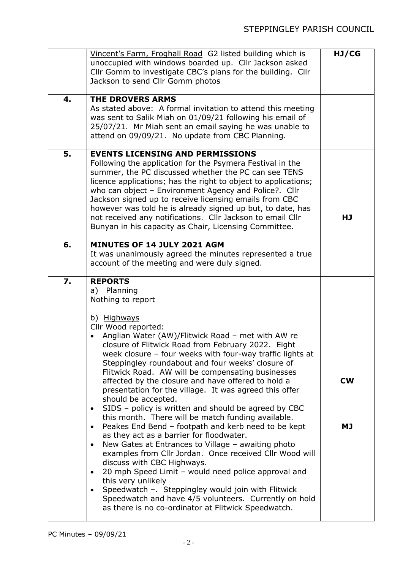| 4. | Vincent's Farm, Froghall Road G2 listed building which is<br>unoccupied with windows boarded up. Cllr Jackson asked<br>Cllr Gomm to investigate CBC's plans for the building. Cllr<br>Jackson to send Cllr Gomm photos<br><b>THE DROVERS ARMS</b><br>As stated above: A formal invitation to attend this meeting                                                                                                                                                                                                                                                                                                                                                                                                                                                                                                                                                                                                                                                                                                                                                                                                                                                                                      | HJ/CG           |
|----|-------------------------------------------------------------------------------------------------------------------------------------------------------------------------------------------------------------------------------------------------------------------------------------------------------------------------------------------------------------------------------------------------------------------------------------------------------------------------------------------------------------------------------------------------------------------------------------------------------------------------------------------------------------------------------------------------------------------------------------------------------------------------------------------------------------------------------------------------------------------------------------------------------------------------------------------------------------------------------------------------------------------------------------------------------------------------------------------------------------------------------------------------------------------------------------------------------|-----------------|
|    | was sent to Salik Miah on 01/09/21 following his email of<br>25/07/21. Mr Miah sent an email saying he was unable to<br>attend on 09/09/21. No update from CBC Planning.                                                                                                                                                                                                                                                                                                                                                                                                                                                                                                                                                                                                                                                                                                                                                                                                                                                                                                                                                                                                                              |                 |
| 5. | <b>EVENTS LICENSING AND PERMISSIONS</b><br>Following the application for the Psymera Festival in the<br>summer, the PC discussed whether the PC can see TENS<br>licence applications; has the right to object to applications;<br>who can object - Environment Agency and Police?. Cllr<br>Jackson signed up to receive licensing emails from CBC<br>however was told he is already signed up but, to date, has<br>not received any notifications. Cllr Jackson to email Cllr<br>Bunyan in his capacity as Chair, Licensing Committee.                                                                                                                                                                                                                                                                                                                                                                                                                                                                                                                                                                                                                                                                | HJ              |
| 6. | MINUTES OF 14 JULY 2021 AGM<br>It was unanimously agreed the minutes represented a true<br>account of the meeting and were duly signed.                                                                                                                                                                                                                                                                                                                                                                                                                                                                                                                                                                                                                                                                                                                                                                                                                                                                                                                                                                                                                                                               |                 |
| 7. | <b>REPORTS</b><br>a) Planning<br>Nothing to report<br>b) Highways<br>Cllr Wood reported:<br>Anglian Water (AW)/Flitwick Road - met with AW re<br>closure of Flitwick Road from February 2022. Eight<br>week closure - four weeks with four-way traffic lights at<br>Steppingley roundabout and four weeks' closure of<br>Flitwick Road. AW will be compensating businesses<br>affected by the closure and have offered to hold a<br>presentation for the village. It was agreed this offer<br>should be accepted.<br>SIDS - policy is written and should be agreed by CBC<br>$\bullet$<br>this month. There will be match funding available.<br>Peakes End Bend - footpath and kerb need to be kept<br>$\bullet$<br>as they act as a barrier for floodwater.<br>New Gates at Entrances to Village - awaiting photo<br>$\bullet$<br>examples from Cllr Jordan. Once received Cllr Wood will<br>discuss with CBC Highways.<br>20 mph Speed Limit - would need police approval and<br>$\bullet$<br>this very unlikely<br>Speedwatch -. Steppingley would join with Flitwick<br>$\bullet$<br>Speedwatch and have 4/5 volunteers. Currently on hold<br>as there is no co-ordinator at Flitwick Speedwatch. | <b>CW</b><br>МJ |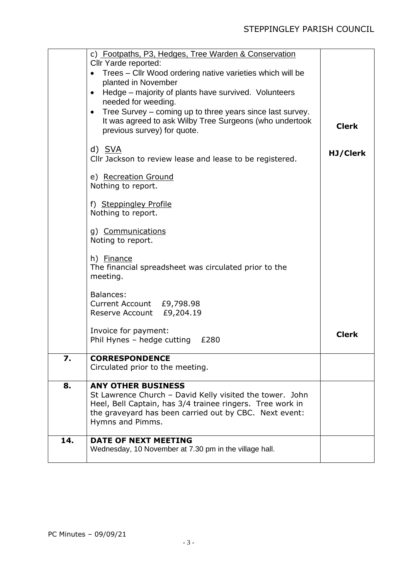|     | c) Footpaths, P3, Hedges, Tree Warden & Conservation<br>Cllr Yarde reported:<br>Trees - Cllr Wood ordering native varieties which will be<br>planted in November<br>Hedge – majority of plants have survived. Volunteers<br>$\bullet$<br>needed for weeding.<br>Tree Survey - coming up to three years since last survey.<br>$\bullet$<br>It was agreed to ask Wilby Tree Surgeons (who undertook<br>previous survey) for quote. | <b>Clerk</b> |
|-----|----------------------------------------------------------------------------------------------------------------------------------------------------------------------------------------------------------------------------------------------------------------------------------------------------------------------------------------------------------------------------------------------------------------------------------|--------------|
|     | d) SVA<br>Cllr Jackson to review lease and lease to be registered.                                                                                                                                                                                                                                                                                                                                                               | HJ/Clerk     |
|     | e) Recreation Ground<br>Nothing to report.                                                                                                                                                                                                                                                                                                                                                                                       |              |
|     | f) Steppingley Profile<br>Nothing to report.                                                                                                                                                                                                                                                                                                                                                                                     |              |
|     | g) Communications<br>Noting to report.                                                                                                                                                                                                                                                                                                                                                                                           |              |
|     | h) Finance<br>The financial spreadsheet was circulated prior to the<br>meeting.                                                                                                                                                                                                                                                                                                                                                  |              |
|     | Balances:<br>Current Account £9,798.98<br>Reserve Account £9,204.19                                                                                                                                                                                                                                                                                                                                                              |              |
|     | Invoice for payment:<br>Phil Hynes - hedge cutting<br>£280                                                                                                                                                                                                                                                                                                                                                                       | <b>Clerk</b> |
| 7.  | <b>CORRESPONDENCE</b><br>Circulated prior to the meeting.                                                                                                                                                                                                                                                                                                                                                                        |              |
| 8.  | <b>ANY OTHER BUSINESS</b><br>St Lawrence Church - David Kelly visited the tower. John<br>Heel, Bell Captain, has 3/4 trainee ringers. Tree work in<br>the graveyard has been carried out by CBC. Next event:<br>Hymns and Pimms.                                                                                                                                                                                                 |              |
| 14. | DATE OF NEXT MEETING<br>Wednesday, 10 November at 7.30 pm in the village hall.                                                                                                                                                                                                                                                                                                                                                   |              |